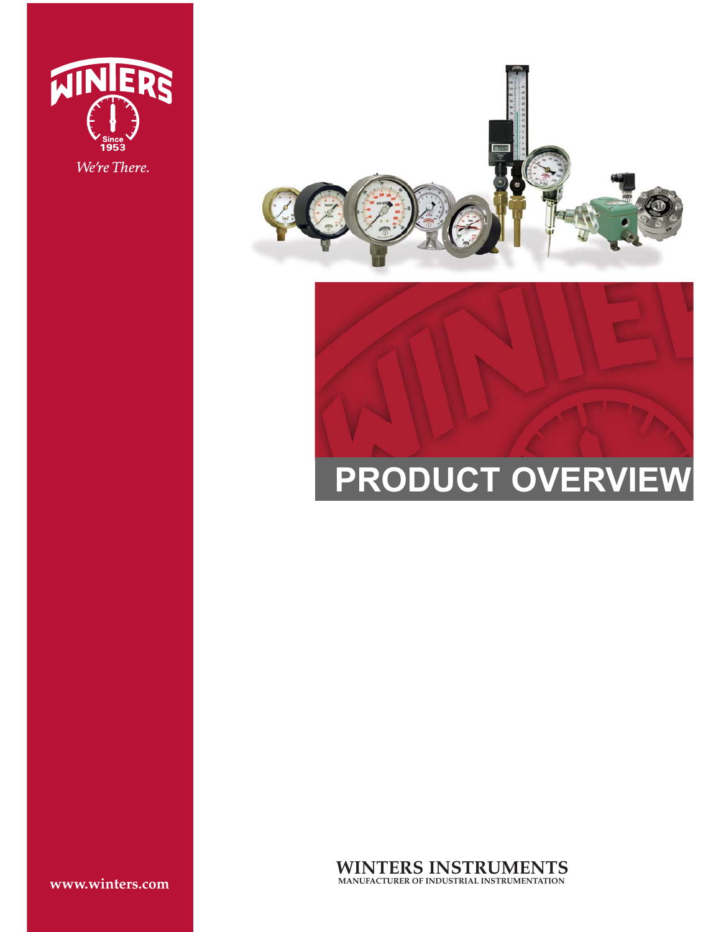





**WINTERS INSTRUMENTS MANUFACTURER OF INDUSTRIAL INSTRUMENTATION**

**www.winters.com**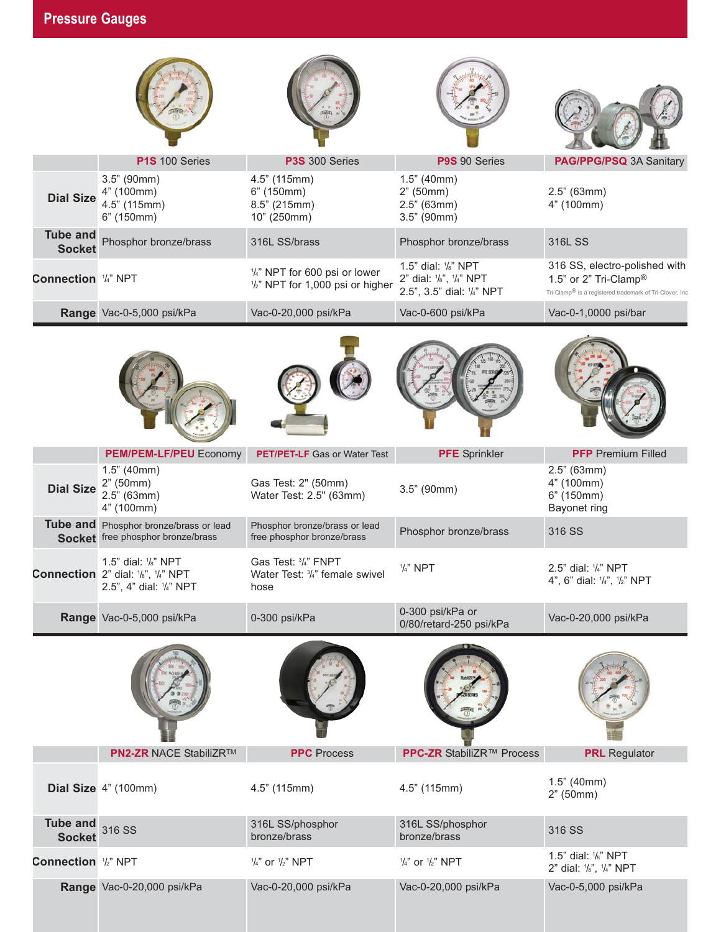|                                  | P1S 100 Series                                                                              | P3S 300 Series                                                    | P9S 90 Series                                                               | PAG/PPG/PSQ 3A Sanitary                                                                                                        |
|----------------------------------|---------------------------------------------------------------------------------------------|-------------------------------------------------------------------|-----------------------------------------------------------------------------|--------------------------------------------------------------------------------------------------------------------------------|
| <b>Dial Size</b>                 | $3.5"$ (90mm)<br>4" (100mm)<br>4.5" (115mm)<br>6" (150mm)                                   | 4.5" (115mm)<br>6" (150mm)<br>8.5" (215mm)<br>10" (250mm)         | $1.5"$ (40mm)<br>2" (50mm)<br>$2.5"$ (63mm)<br>$3.5"$ (90mm)                | $2.5"$ (63mm)<br>4" (100mm)                                                                                                    |
| <b>Tube and</b><br><b>Socket</b> | Phosphor bronze/brass                                                                       | 316L SS/brass                                                     | Phosphor bronze/brass                                                       | 316L SS                                                                                                                        |
| Connection 1/4" NPT              |                                                                                             | 1/4" NPT for 600 psi or lower<br>1/2" NPT for 1,000 psi or higher | 1.5" dial: 1/8" NPT<br>2" dial: 1/8", 1/4" NPT<br>2.5", 3.5" dial: 1/4" NPT | 316 SS, electro-polished with<br>1.5" or 2" Tri-Clamp®<br>Tri-Clamp <sup>®</sup> is a registered trademark of Tri-Clover, Inc. |
|                                  | Range Vac-0-5,000 psi/kPa                                                                   | Vac-0-20,000 psi/kPa                                              | Vac-0-600 psi/kPa                                                           | Vac-0-1,0000 psi/bar                                                                                                           |
|                                  |                                                                                             |                                                                   |                                                                             |                                                                                                                                |
|                                  | <b>PEM/PEM-LF/PEU Economy</b>                                                               | <b>PET/PET-LF</b> Gas or Water Test                               | <b>PFE</b> Sprinkler                                                        | <b>PFP</b> Premium Filled                                                                                                      |
| <b>Dial Size</b>                 | $1.5"$ (40mm)<br>2" (50mm)<br>$2.5"$ (63mm)<br>4" (100mm)                                   | Gas Test: 2" (50mm)<br>Water Test: 2.5" (63mm)                    | $3.5"$ (90mm)                                                               | $2.5"$ (63mm)<br>4" (100mm)<br>6" (150mm)<br>Bayonet ring                                                                      |
| <b>Tube and</b>                  | Phosphor bronze/brass or lead<br>Socket free phosphor bronze/brass                          | Phosphor bronze/brass or lead<br>free phosphor bronze/brass       | Phosphor bronze/brass                                                       | 316 SS                                                                                                                         |
|                                  | 1.5" dial: 1/8" NPT<br><b>Connection</b> 2" dial: '/s", '/4" NPT<br>2.5", 4" dial: 1/4" NPT | Gas Test: 3/4" FNPT<br>Water Test: 3/4" female swivel<br>hose     | $1/4$ " NPT                                                                 | 2.5" dial: '/4" NPT<br>4", 6" dial: $\frac{1}{4}$ ", $\frac{1}{2}$ " NPT                                                       |
|                                  | Range Vac-0-5,000 psi/kPa                                                                   | 0-300 psi/kPa                                                     | 0-300 psi/kPa or<br>0/80/retard-250 psi/kPa                                 | Vac-0-20,000 psi/kPa                                                                                                           |
|                                  | PN2-ZR NACE StabiliZR™                                                                      | <b>PPC</b> Process                                                | PPC-ZR StabiliZR™ Process                                                   | <b>PRL</b> Regulator                                                                                                           |
|                                  |                                                                                             |                                                                   |                                                                             |                                                                                                                                |
|                                  | Dial Size 4" (100mm)                                                                        | 4.5" (115mm)                                                      | 4.5" (115mm)                                                                | 1.5" (40mm)<br>2" (50mm)                                                                                                       |
| <b>Tube and</b><br><b>Socket</b> | 316 SS                                                                                      | 316L SS/phosphor<br>bronze/brass                                  | 316L SS/phosphor<br>bronze/brass                                            | 316 SS                                                                                                                         |
| Connection 1/2" NPT              |                                                                                             | $\frac{1}{4}$ " or $\frac{1}{2}$ " NPT                            | $\frac{1}{4}$ " or $\frac{1}{2}$ " NPT                                      | 1.5" dial: 1/8" NPT<br>2" dial: 1/8", 1/4" NPT                                                                                 |
|                                  | Range Vac-0-20,000 psi/kPa                                                                  | Vac-0-20,000 psi/kPa                                              | Vac-0-20,000 psi/kPa                                                        | Vac-0-5,000 psi/kPa                                                                                                            |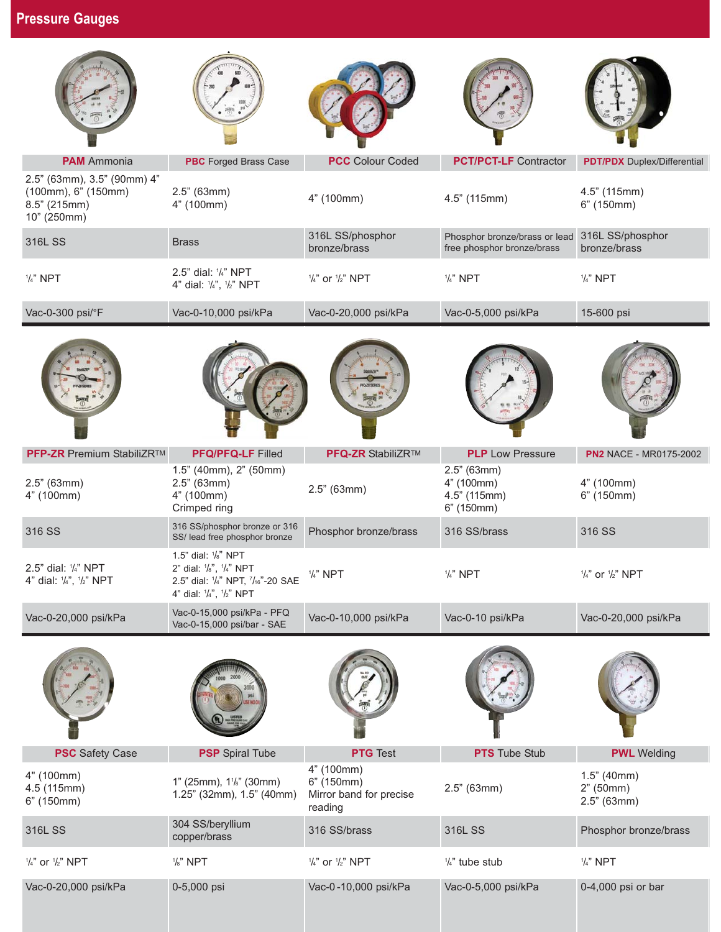| <b>PAM</b> Ammonia                                                                | <b>PBC</b> Forged Brass Case                                                                                   | <b>PCC</b> Colour Coded                                        | <b>PCT/PCT-LF</b> Contractor                                | <b>PDT/PDX</b> Duplex/Differential        |
|-----------------------------------------------------------------------------------|----------------------------------------------------------------------------------------------------------------|----------------------------------------------------------------|-------------------------------------------------------------|-------------------------------------------|
| 2.5" (63mm), 3.5" (90mm) 4"<br>(100mm), 6" (150mm)<br>8.5" (215mm)<br>10" (250mm) | $2.5"$ (63mm)<br>4" (100mm)                                                                                    | 4" (100mm)                                                     | 4.5" (115mm)                                                | 4.5" (115mm)<br>6" (150mm)                |
| 316L SS                                                                           | <b>Brass</b>                                                                                                   | 316L SS/phosphor<br>bronze/brass                               | Phosphor bronze/brass or lead<br>free phosphor bronze/brass | 316L SS/phosphor<br>bronze/brass          |
| $1/4$ " NPT                                                                       | 2.5" dial: 1/4" NPT<br>4" dial: 1/4", 1/2" NPT                                                                 | $\frac{1}{4}$ " or $\frac{1}{2}$ " NPT                         | $1/4$ " NPT                                                 | $1/4$ " NPT                               |
| Vac-0-300 psi/°F                                                                  | Vac-0-10,000 psi/kPa                                                                                           | Vac-0-20,000 psi/kPa                                           | Vac-0-5,000 psi/kPa                                         | 15-600 psi                                |
|                                                                                   |                                                                                                                |                                                                |                                                             |                                           |
| PFP-ZR Premium StabiliZR™                                                         | PFQ/PFQ-LF Filled                                                                                              | <b>PFQ-ZR StabiliZR™</b>                                       | <b>PLP</b> Low Pressure                                     | <b>PN2 NACE - MR0175-2002</b>             |
| $2.5"$ (63mm)<br>4" (100mm)                                                       | 1.5" (40mm), 2" (50mm)<br>$2.5"$ (63mm)<br>4" (100mm)<br>Crimped ring                                          | 2.5" (63mm)                                                    | $2.5"$ (63mm)<br>4" (100mm)<br>4.5" (115mm)<br>6" (150mm)   | 4" (100mm)<br>6" (150mm)                  |
| 316 SS                                                                            | 316 SS/phosphor bronze or 316<br>SS/ lead free phosphor bronze                                                 | Phosphor bronze/brass                                          | 316 SS/brass                                                | 316 SS                                    |
| 2.5" dial: 1/4" NPT<br>4" dial: 1/4", 1/2" NPT                                    | 1.5" dial: 1/8" NPT<br>2" dial: 1/8", 1/4" NPT<br>2.5" dial: 1/4" NPT, 7/16"-20 SAE<br>4" dial: 1/4", 1/2" NPT | $1/4$ " NPT                                                    | $1/4$ " NPT                                                 | $\frac{1}{4}$ " or $\frac{1}{2}$ " NPT    |
| Vac-0-20,000 psi/kPa                                                              | Vac-0-15,000 psi/kPa - PFQ<br>Vac-0-15,000 psi/bar - SAE                                                       | Vac-0-10,000 psi/kPa                                           | Vac-0-10 psi/kPa                                            | Vac-0-20,000 psi/kPa                      |
|                                                                                   |                                                                                                                |                                                                |                                                             |                                           |
| <b>PSC</b> Safety Case                                                            | <b>PSP</b> Spiral Tube                                                                                         | <b>PTG</b> Test                                                | <b>PTS</b> Tube Stub                                        | <b>PWL</b> Welding                        |
| 4" (100mm)<br>4.5 (115mm)<br>6" (150mm)                                           | 1" (25mm), 1 <sup>1</sup> / <sub>8</sub> " (30mm)<br>1.25" (32mm), 1.5" (40mm)                                 | 4" (100mm)<br>6" (150mm)<br>Mirror band for precise<br>reading | $2.5"$ (63mm)                                               | $1.5"$ (40mm)<br>2" (50mm)<br>2.5" (63mm) |
| 316L SS                                                                           | 304 SS/beryllium<br>copper/brass                                                                               | 316 SS/brass                                                   | 316L SS                                                     | Phosphor bronze/brass                     |
| $\frac{1}{4}$ " or $\frac{1}{2}$ " NPT                                            | $1/s$ " NPT                                                                                                    | $\frac{1}{4}$ " or $\frac{1}{2}$ " NPT                         | $\frac{1}{4}$ " tube stub                                   | $1/4$ " NPT                               |
| Vac-0-20,000 psi/kPa                                                              | 0-5,000 psi                                                                                                    | Vac-0-10,000 psi/kPa                                           | Vac-0-5,000 psi/kPa                                         | 0-4,000 psi or bar                        |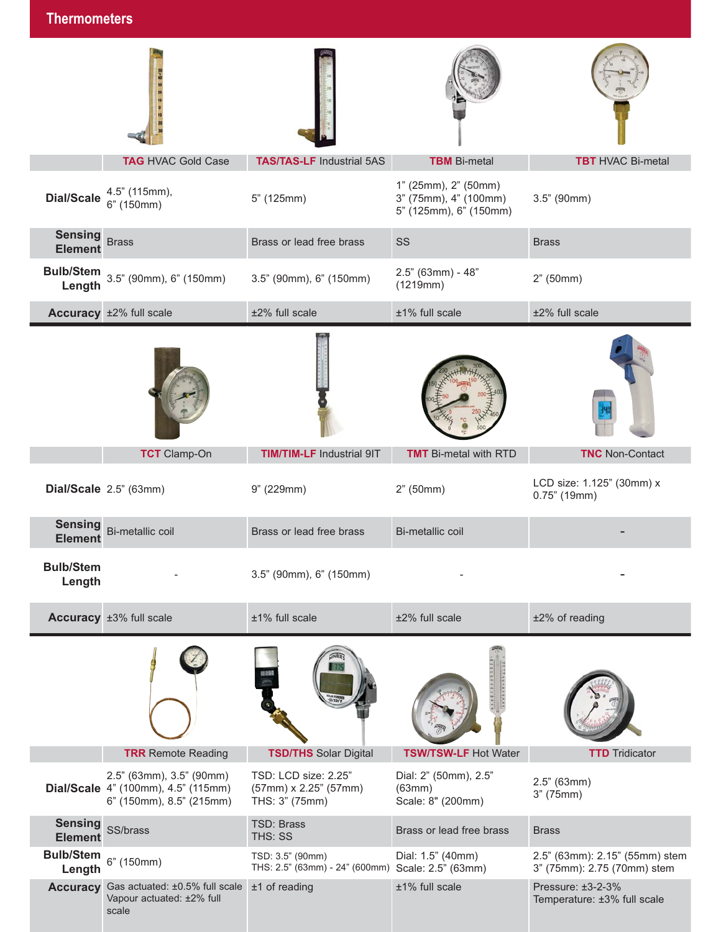| <u>LIIGHINUHIGIGI S</u>          |                                                                                             |                                                                       |                                                                         |                                                               |
|----------------------------------|---------------------------------------------------------------------------------------------|-----------------------------------------------------------------------|-------------------------------------------------------------------------|---------------------------------------------------------------|
|                                  |                                                                                             |                                                                       |                                                                         |                                                               |
|                                  | <b>TAG HVAC Gold Case</b>                                                                   | <b>TAS/TAS-LF Industrial 5AS</b>                                      | <b>TBM</b> Bi-metal                                                     | <b>TBT</b> HVAC Bi-metal                                      |
| <b>Dial/Scale</b>                | 4.5" (115mm),<br>$6"$ (150mm)                                                               | 5" (125mm)                                                            | 1" (25mm), 2" (50mm)<br>3" (75mm), 4" (100mm)<br>5" (125mm), 6" (150mm) | $3.5"$ (90mm)                                                 |
| <b>Sensing</b><br><b>Element</b> | <b>Brass</b>                                                                                | Brass or lead free brass                                              | SS                                                                      | <b>Brass</b>                                                  |
| Length                           | <b>Bulb/Stem</b> 3.5" (90mm), 6" (150mm)                                                    | 3.5" (90mm), 6" (150mm)                                               | $2.5"$ (63mm) - 48"<br>(1219mm)                                         | 2" (50mm)                                                     |
|                                  | Accuracy ±2% full scale                                                                     | ±2% full scale                                                        | ±1% full scale                                                          | ±2% full scale                                                |
|                                  |                                                                                             |                                                                       |                                                                         |                                                               |
|                                  | <b>TCT</b> Clamp-On                                                                         | <b>TIM/TIM-LF Industrial 9IT</b>                                      | <b>TMT</b> Bi-metal with RTD                                            | <b>TNC</b> Non-Contact                                        |
|                                  | Dial/Scale 2.5" (63mm)                                                                      | 9" (229mm)                                                            | 2" (50mm)                                                               | LCD size: 1.125" (30mm) x<br>$0.75$ " (19mm)                  |
| <b>Sensing</b><br><b>Element</b> | Bi-metallic coil                                                                            | Brass or lead free brass                                              | Bi-metallic coil                                                        |                                                               |
| <b>Bulb/Stem</b><br>Length       |                                                                                             | 3.5" (90mm), 6" (150mm)                                               |                                                                         |                                                               |
|                                  | Accuracy ±3% full scale                                                                     | ±1% full scale                                                        | ±2% full scale                                                          | ±2% of reading                                                |
|                                  |                                                                                             |                                                                       |                                                                         |                                                               |
|                                  | <b>TRR</b> Remote Reading                                                                   | <b>TSD/THS Solar Digital</b>                                          | <b>TSW/TSW-LF Hot Water</b>                                             | <b>TTD</b> Tridicator                                         |
|                                  | 2.5" (63mm), 3.5" (90mm)<br>Dial/Scale 4" (100mm), 4.5" (115mm)<br>6" (150mm), 8.5" (215mm) | TSD: LCD size: 2.25"<br>(57mm) x 2.25" (57mm)<br>THS: 3" (75mm)       | Dial: 2" (50mm), 2.5"<br>(63mm)<br>Scale: 8" (200mm)                    | $2.5"$ (63mm)<br>3" (75mm)                                    |
| <b>Sensing</b><br><b>Element</b> | SS/brass                                                                                    | TSD: Brass<br>THS: SS                                                 | Brass or lead free brass                                                | <b>Brass</b>                                                  |
| <b>Bulb/Stem</b><br>Length       | 6" (150mm)                                                                                  | TSD: 3.5" (90mm)<br>THS: 2.5" (63mm) - 24" (600mm) Scale: 2.5" (63mm) | Dial: 1.5" (40mm)                                                       | 2.5" (63mm): 2.15" (55mm) stem<br>3" (75mm): 2.75 (70mm) stem |
|                                  | Accuracy Gas actuated: ±0.5% full scale<br>Vapour actuated: ±2% full<br>scale               | $±1$ of reading                                                       | ±1% full scale                                                          | Pressure: ±3-2-3%<br>Temperature: ±3% full scale              |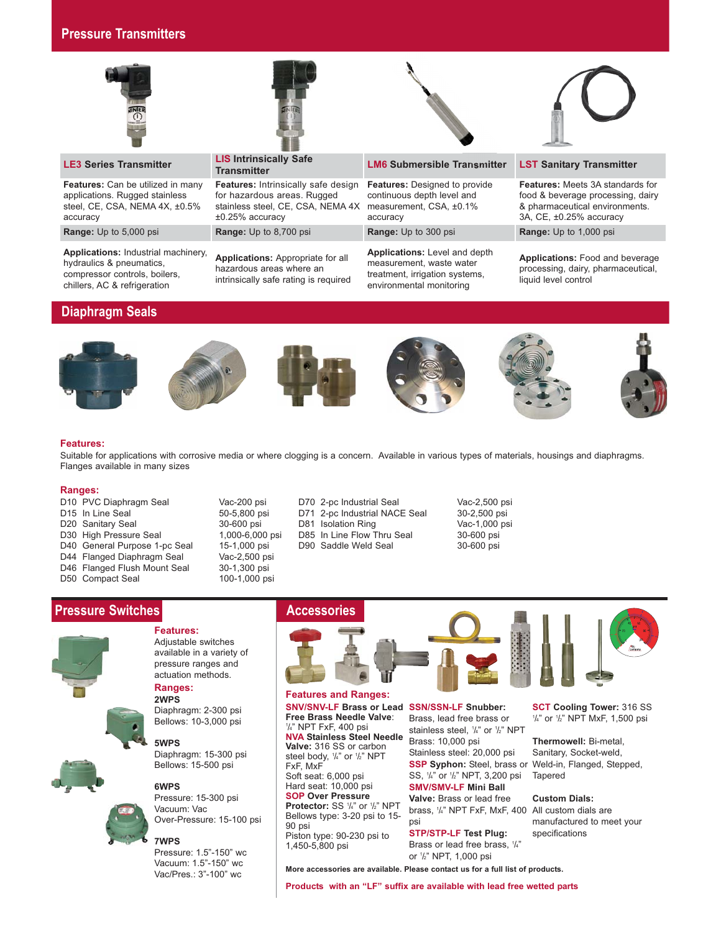# **Pressure Transmitters**



**Features:** Can be utilized in many applications. Rugged stainless steel, CE, CSA, NEMA 4X, ±0.5% accuracy

**Range: Up to 5,000 psi <b>Range: Up to 8,700 psi Range: Up to 300 psi <b>Range: Up** to 1,000 psi

**Applications:** Industrial machinery, hydraulics & pneumatics, compressor controls, boilers, chillers, AC & refrigeration

# **LE3 Series Transmitter LIS Intrinsically Safe**

**Features:** Intrinsically safe design for hazardous areas. Rugged stainless steel, CE, CSA, NEMA 4X ±0.25% accuracy

**Applications:** Appropriate for all hazardous areas where an intrinsically safe rating is required

## **Transmitter LM6 Submersible Transmitter LST Sanitary Transmitter**

**Features:** Designed to provide continuous depth level and measurement, CSA, ±0.1% accuracy

**Applications:** Level and depth measurement, waste water treatment, irrigation systems, environmental monitoring

**Features:** Meets 3A standards for food & beverage processing, dairy & pharmaceutical environments. 3A, CE, ±0.25% accuracy

**Applications:** Food and beverage processing, dairy, pharmaceutical, liquid level control

# **Diaphragm Seals**













#### **Features:**

Suitable for applications with corrosive media or where clogging is a concern. Available in various types of materials, housings and diaphragms. Flanges available in many sizes

#### **Ranges:**

- D20 Sanitary Seal 30-600 psi D81 Isolation Ring Vac-1,000 psi D30 High Pressure Seal 1,000-6,000 psi D85 In Line Flow Thru Seal 30-600 psi D40 General Purpose 1-pc Seal 15-1,000 psi D90 Saddle Weld Seal 30-600 psi D44 Flanged Diaphragm Seal Vac-2,500 psi<br>D46 Flanged Flush Mount Seal 30-1,300 psi D46 Flanged Flush Mount Seal 30-1,300 psi<br>D50 Compact Seal 300-1,000 psi D50 Compact Seal
- 
- D10 PVC Diaphragm Seal Vac-200 psi D70 2-pc Industrial Seal Vac-2,500 psi D71 2-pc Industrial NACE Seal
- 









**Features:** Adjustable switches available in a variety of pressure ranges and actuation methods.

#### **Ranges: 2WPS**

Diaphragm: 2-300 psi Bellows: 10-3,000 psi

**5WPS** Diaphragm: 15-300 psi Bellows: 15-500 psi

#### **6WPS**

Pressure: 15-300 psi Vacuum: Vac Over-Pressure: 15-100 psi

#### **7WPS**

Pressure: 1.5"-150" wc Vacuum: 1.5"-150" wc Vac/Pres.: 3"-100" wc

## Accessories



**SNV/SNV-LF Brass or Lead SSN/SSN-LF Snubber: Free Brass Needle Valve**: 1 /4" NPT FxF, 400 psi **NVA Stainless Steel Needle Valve:** 316 SS or carbon steel body, 1/4" or 1/2" NPT FxF, MxF Soft seat: 6,000 psi Hard seat: 10,000 psi **SOP Over Pressure Protector:** SS 1/4" or 1/2" NPT Bellows type: 3-20 psi to 15- 90 psi Piston type: 90-230 psi to 1,450-5,800 psi **Features and Ranges:**

Brass, lead free brass or stainless steel, 1 /4" or 1 /2" NPT Brass: 10,000 psi Stainless steel: 20,000 psi **SSP Syphon:** Steel, brass or Weld-in, Flanged, Stepped, SS, 1 /4" or 1 /2" NPT, 3,200 psi **SMV/SMV-LF Mini Ball**

**Valve:** Brass or lead free brass, 1 /4" NPT FxF, MxF, 400 All custom dials are psi

**STP/STP-LF Test Plug:** Brass or lead free brass, 1/<sub>4</sub>" or 1 /2" NPT, 1,000 psi

**SCT Cooling Tower:** 316 SS 1 /4" or 1 /2" NPT MxF, 1,500 psi

**Thermowell:** Bi-metal, Sanitary, Socket-weld, Tapered

**Custom Dials:**

manufactured to meet your specifications

**More accessories are available. Please contact us for a full list of products.**

**Products with an "LF" suffix are available with lead free wetted parts**